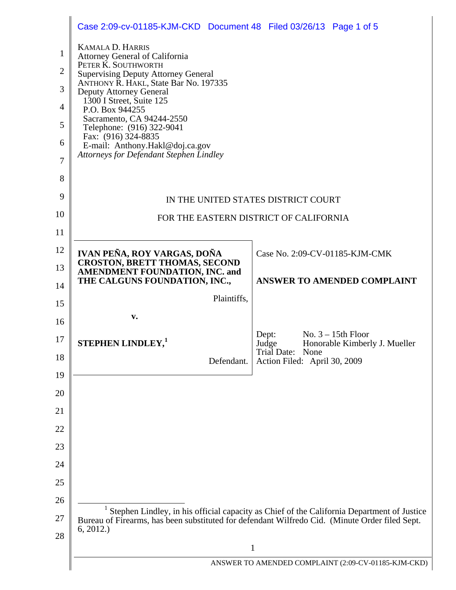|                | Case 2:09-cv-01185-KJM-CKD Document 48 Filed 03/26/13 Page 1 of 5                                           |                                                                                            |  |
|----------------|-------------------------------------------------------------------------------------------------------------|--------------------------------------------------------------------------------------------|--|
| 1              | <b>KAMALA D. HARRIS</b>                                                                                     |                                                                                            |  |
| $\overline{2}$ | <b>Attorney General of California</b><br>PETER K. SOUTHWORTH                                                |                                                                                            |  |
| 3              | <b>Supervising Deputy Attorney General</b><br>ANTHONY R. HAKL, State Bar No. 197335                         |                                                                                            |  |
| 4              | <b>Deputy Attorney General</b><br>1300 I Street, Suite 125<br>P.O. Box 944255                               |                                                                                            |  |
| 5              | Sacramento, CA 94244-2550                                                                                   |                                                                                            |  |
| 6              | Telephone: (916) 322-9041<br>Fax: (916) 324-8835                                                            |                                                                                            |  |
| 7              | E-mail: Anthony.Hakl@doj.ca.gov<br><b>Attorneys for Defendant Stephen Lindley</b>                           |                                                                                            |  |
| 8              |                                                                                                             |                                                                                            |  |
| 9              |                                                                                                             |                                                                                            |  |
| 10             | IN THE UNITED STATES DISTRICT COURT<br>FOR THE EASTERN DISTRICT OF CALIFORNIA                               |                                                                                            |  |
| 11             |                                                                                                             |                                                                                            |  |
| 12             | IVAN PEÑA, ROY VARGAS, DOÑA                                                                                 | Case No. 2:09-CV-01185-KJM-CMK                                                             |  |
| 13             | <b>CROSTON, BRETT THOMAS, SECOND</b><br>AMENDMENT FOUNDATION, INC. and                                      |                                                                                            |  |
| 14             | THE CALGUNS FOUNDATION, INC.,                                                                               | <b>ANSWER TO AMENDED COMPLAINT</b>                                                         |  |
| 15             | Plaintiffs,                                                                                                 |                                                                                            |  |
| 16             | v.                                                                                                          |                                                                                            |  |
| 17             | <b>STEPHEN LINDLEY,1</b>                                                                                    | No. $3 - 15$ th Floor<br>Dept:<br>Honorable Kimberly J. Mueller<br>Judge                   |  |
| 18             | Defendant.                                                                                                  | Trial Date: None<br>Action Filed: April 30, 2009                                           |  |
| 19             |                                                                                                             |                                                                                            |  |
| 20             |                                                                                                             |                                                                                            |  |
| 21             |                                                                                                             |                                                                                            |  |
| 22             |                                                                                                             |                                                                                            |  |
| 23             |                                                                                                             |                                                                                            |  |
| 24             |                                                                                                             |                                                                                            |  |
| 25             |                                                                                                             |                                                                                            |  |
| 26             |                                                                                                             | Stephen Lindley, in his official capacity as Chief of the California Department of Justice |  |
| 27             | Bureau of Firearms, has been substituted for defendant Wilfredo Cid. (Minute Order filed Sept.<br>6, 2012.) |                                                                                            |  |
| 28             | $\mathbf{1}$                                                                                                |                                                                                            |  |
|                | ANSWER TO AMENDED COMPLAINT (2:09-CV-01185-KJM-CKD)                                                         |                                                                                            |  |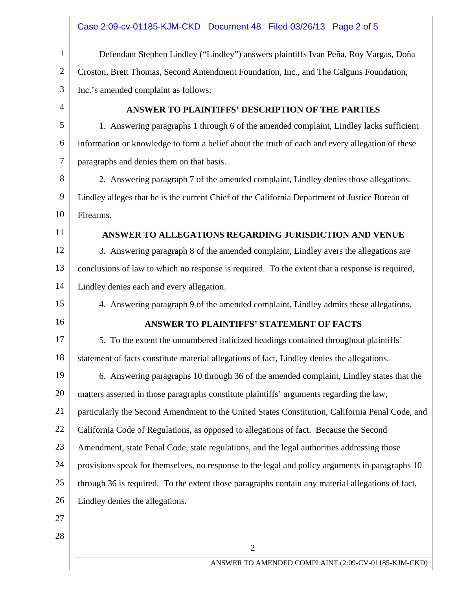|              | Case 2:09-cv-01185-KJM-CKD Document 48 Filed 03/26/13 Page 2 of 5                                |  |  |
|--------------|--------------------------------------------------------------------------------------------------|--|--|
| $\mathbf{1}$ | Defendant Stephen Lindley ("Lindley") answers plaintiffs Ivan Peña, Roy Vargas, Doña             |  |  |
| $\mathbf{2}$ | Croston, Brett Thomas, Second Amendment Foundation, Inc., and The Calguns Foundation,            |  |  |
| 3            | Inc.'s amended complaint as follows:                                                             |  |  |
| 4            | ANSWER TO PLAINTIFFS' DESCRIPTION OF THE PARTIES                                                 |  |  |
| 5            | 1. Answering paragraphs 1 through 6 of the amended complaint, Lindley lacks sufficient           |  |  |
| 6            | information or knowledge to form a belief about the truth of each and every allegation of these  |  |  |
| 7            | paragraphs and denies them on that basis.                                                        |  |  |
| 8            | 2. Answering paragraph 7 of the amended complaint, Lindley denies those allegations.             |  |  |
| 9            | Lindley alleges that he is the current Chief of the California Department of Justice Bureau of   |  |  |
| 10           | Firearms.                                                                                        |  |  |
| 11           | ANSWER TO ALLEGATIONS REGARDING JURISDICTION AND VENUE                                           |  |  |
| 12           | 3. Answering paragraph 8 of the amended complaint, Lindley avers the allegations are             |  |  |
| 13           | conclusions of law to which no response is required. To the extent that a response is required,  |  |  |
| 14           | Lindley denies each and every allegation.                                                        |  |  |
| 15           | 4. Answering paragraph 9 of the amended complaint, Lindley admits these allegations.             |  |  |
| 16           | <b>ANSWER TO PLAINTIFFS' STATEMENT OF FACTS</b>                                                  |  |  |
| 17           | 5. To the extent the unnumbered italicized headings contained throughout plaintiffs'             |  |  |
| 18           | statement of facts constitute material allegations of fact, Lindley denies the allegations.      |  |  |
| 19           | 6. Answering paragraphs 10 through 36 of the amended complaint, Lindley states that the          |  |  |
| 20           | matters asserted in those paragraphs constitute plaintiffs' arguments regarding the law,         |  |  |
| 21           | particularly the Second Amendment to the United States Constitution, California Penal Code, and  |  |  |
| 22           | California Code of Regulations, as opposed to allegations of fact. Because the Second            |  |  |
| 23           | Amendment, state Penal Code, state regulations, and the legal authorities addressing those       |  |  |
| 24           | provisions speak for themselves, no response to the legal and policy arguments in paragraphs 10  |  |  |
| 25           | through 36 is required. To the extent those paragraphs contain any material allegations of fact, |  |  |
| 26           | Lindley denies the allegations.                                                                  |  |  |
| 27           |                                                                                                  |  |  |
| 28           |                                                                                                  |  |  |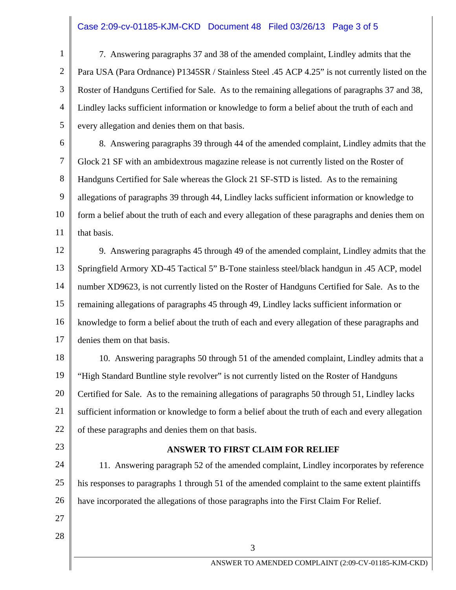# Case 2:09-cv-01185-KJM-CKD Document 48 Filed 03/26/13 Page 3 of 5

1 2 3 4 5 7. Answering paragraphs 37 and 38 of the amended complaint, Lindley admits that the Para USA (Para Ordnance) P1345SR / Stainless Steel .45 ACP 4.25" is not currently listed on the Roster of Handguns Certified for Sale. As to the remaining allegations of paragraphs 37 and 38, Lindley lacks sufficient information or knowledge to form a belief about the truth of each and every allegation and denies them on that basis.

6 7 8 9 10 11 8. Answering paragraphs 39 through 44 of the amended complaint, Lindley admits that the Glock 21 SF with an ambidextrous magazine release is not currently listed on the Roster of Handguns Certified for Sale whereas the Glock 21 SF-STD is listed. As to the remaining allegations of paragraphs 39 through 44, Lindley lacks sufficient information or knowledge to form a belief about the truth of each and every allegation of these paragraphs and denies them on that basis.

12 13 14 15 16 17 9. Answering paragraphs 45 through 49 of the amended complaint, Lindley admits that the Springfield Armory XD-45 Tactical 5" B-Tone stainless steel/black handgun in .45 ACP, model number XD9623, is not currently listed on the Roster of Handguns Certified for Sale. As to the remaining allegations of paragraphs 45 through 49, Lindley lacks sufficient information or knowledge to form a belief about the truth of each and every allegation of these paragraphs and denies them on that basis.

18 19 20 21 22 10. Answering paragraphs 50 through 51 of the amended complaint, Lindley admits that a "High Standard Buntline style revolver" is not currently listed on the Roster of Handguns Certified for Sale. As to the remaining allegations of paragraphs 50 through 51, Lindley lacks sufficient information or knowledge to form a belief about the truth of each and every allegation of these paragraphs and denies them on that basis.

23

### **ANSWER TO FIRST CLAIM FOR RELIEF**

3

24 25 26 11. Answering paragraph 52 of the amended complaint, Lindley incorporates by reference his responses to paragraphs 1 through 51 of the amended complaint to the same extent plaintiffs have incorporated the allegations of those paragraphs into the First Claim For Relief.

- 27
- 28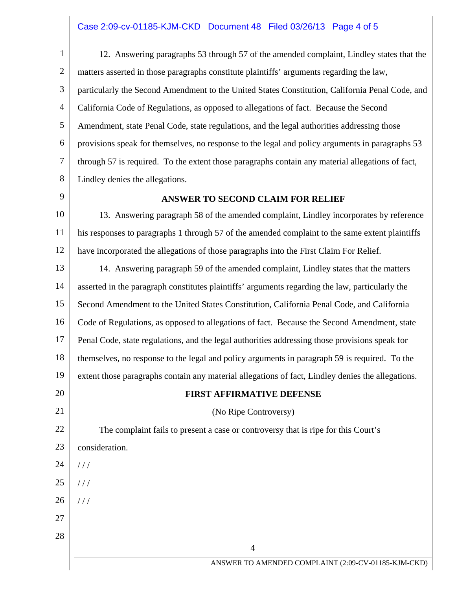# Case 2:09-cv-01185-KJM-CKD Document 48 Filed 03/26/13 Page 4 of 5

1 2 3 4 5 6 7 8 12. Answering paragraphs 53 through 57 of the amended complaint, Lindley states that the matters asserted in those paragraphs constitute plaintiffs' arguments regarding the law, particularly the Second Amendment to the United States Constitution, California Penal Code, and California Code of Regulations, as opposed to allegations of fact. Because the Second Amendment, state Penal Code, state regulations, and the legal authorities addressing those provisions speak for themselves, no response to the legal and policy arguments in paragraphs 53 through 57 is required. To the extent those paragraphs contain any material allegations of fact, Lindley denies the allegations.

9

### **ANSWER TO SECOND CLAIM FOR RELIEF**

10 11 12 13. Answering paragraph 58 of the amended complaint, Lindley incorporates by reference his responses to paragraphs 1 through 57 of the amended complaint to the same extent plaintiffs have incorporated the allegations of those paragraphs into the First Claim For Relief.

13 14 15 16 17 18 19 20 21 22 23 24 25 26 27 28 4 ANSWER TO AMENDED COMPLAINT (2:09-CV-01185-KJM-CKD) 14. Answering paragraph 59 of the amended complaint, Lindley states that the matters asserted in the paragraph constitutes plaintiffs' arguments regarding the law, particularly the Second Amendment to the United States Constitution, California Penal Code, and California Code of Regulations, as opposed to allegations of fact. Because the Second Amendment, state Penal Code, state regulations, and the legal authorities addressing those provisions speak for themselves, no response to the legal and policy arguments in paragraph 59 is required. To the extent those paragraphs contain any material allegations of fact, Lindley denies the allegations. **FIRST AFFIRMATIVE DEFENSE**  (No Ripe Controversy) The complaint fails to present a case or controversy that is ripe for this Court's consideration.  $1/1$  $1/1$  $1/1$